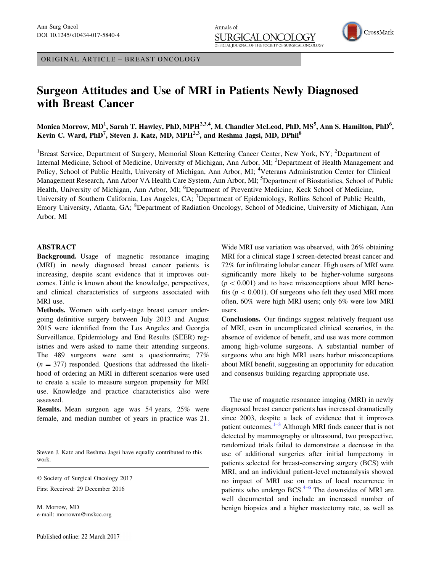ORIGINAL ARTICLE – BREAST ONCOLOGY

# Surgeon Attitudes and Use of MRI in Patients Newly Diagnosed with Breast Cancer

Monica Morrow, MD<sup>1</sup>, Sarah T. Hawley, PhD, MPH<sup>2,3,4</sup>, M. Chandler McLeod, PhD, MS<sup>5</sup>, Ann S. Hamilton, PhD<sup>6</sup>, Kevin C. Ward, PhD<sup>7</sup>, Steven J. Katz, MD, MPH<sup>2,3</sup>, and Reshma Jagsi, MD, DPhil<sup>8</sup>

Annals of

JRGI

OFFICIAL JOURNAL OF THE SOCIETY OF

<sup>1</sup>Breast Service, Department of Surgery, Memorial Sloan Kettering Cancer Center, New York, NY; <sup>2</sup>Department of Internal Medicine, School of Medicine, University of Michigan, Ann Arbor, MI; <sup>3</sup>Department of Health Management and Policy, School of Public Health, University of Michigan, Ann Arbor, MI; <sup>4</sup>Veterans Administration Center for Clinical Management Research, Ann Arbor VA Health Care System, Ann Arbor, MI; <sup>5</sup>Department of Biostatistics, School of Public Health, University of Michigan, Ann Arbor, MI; <sup>6</sup>Department of Preventive Medicine, Keck School of Medicine, University of Southern California, Los Angeles, CA; <sup>7</sup>Department of Epidemiology, Rollins School of Public Health, Emory University, Atlanta, GA; <sup>8</sup>Department of Radiation Oncology, School of Medicine, University of Michigan, Ann Arbor, MI

## ABSTRACT

Background. Usage of magnetic resonance imaging (MRI) in newly diagnosed breast cancer patients is increasing, despite scant evidence that it improves outcomes. Little is known about the knowledge, perspectives, and clinical characteristics of surgeons associated with MRI use.

Methods. Women with early-stage breast cancer undergoing definitive surgery between July 2013 and August 2015 were identified from the Los Angeles and Georgia Surveillance, Epidemiology and End Results (SEER) registries and were asked to name their attending surgeons. The 489 surgeons were sent a questionnaire; 77%  $(n = 377)$  responded. Questions that addressed the likelihood of ordering an MRI in different scenarios were used to create a scale to measure surgeon propensity for MRI use. Knowledge and practice characteristics also were assessed.

Results. Mean surgeon age was 54 years, 25% were female, and median number of years in practice was 21.

Steven J. Katz and Reshma Jagsi have equally contributed to this work.

 $©$  Society of Surgical Oncology 2017

First Received: 29 December 2016

M. Morrow, MD e-mail: morrowm@mskcc.org

Wide MRI use variation was observed, with 26% obtaining MRI for a clinical stage I screen-detected breast cancer and 72% for infiltrating lobular cancer. High users of MRI were significantly more likely to be higher-volume surgeons  $(p<0.001)$  and to have misconceptions about MRI benefits ( $p < 0.001$ ). Of surgeons who felt they used MRI more often, 60% were high MRI users; only 6% were low MRI users.

OGY

SURGICAL ONCOLOGY

Conclusions. Our findings suggest relatively frequent use of MRI, even in uncomplicated clinical scenarios, in the absence of evidence of benefit, and use was more common among high-volume surgeons. A substantial number of surgeons who are high MRI users harbor misconceptions about MRI benefit, suggesting an opportunity for education and consensus building regarding appropriate use.

The use of magnetic resonance imaging (MRI) in newly diagnosed breast cancer patients has increased dramatically since 2003, despite a lack of evidence that it improves patient outcomes. $1-3$  Although MRI finds cancer that is not detected by mammography or ultrasound, two prospective, randomized trials failed to demonstrate a decrease in the use of additional surgeries after initial lumpectomy in patients selected for breast-conserving surgery (BCS) with MRI, and an individual patient-level metaanalysis showed no impact of MRI use on rates of local recurrence in patients who undergo  $BCS<sup>4–6</sup>$  $BCS<sup>4–6</sup>$  $BCS<sup>4–6</sup>$  The downsides of MRI are well documented and include an increased number of benign biopsies and a higher mastectomy rate, as well as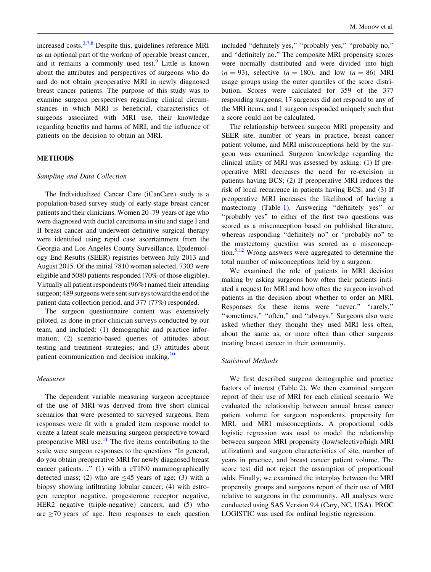increased costs. $3,7,8$  $3,7,8$  $3,7,8$  Despite this, guidelines reference MRI as an optional part of the workup of operable breast cancer, and it remains a commonly used test. $9$  Little is known about the attributes and perspectives of surgeons who do and do not obtain preoperative MRI in newly diagnosed breast cancer patients. The purpose of this study was to examine surgeon perspectives regarding clinical circumstances in which MRI is beneficial, characteristics of surgeons associated with MRI use, their knowledge regarding benefits and harms of MRI, and the influence of patients on the decision to obtain an MRI.

# METHODS

#### Sampling and Data Collection

The Individualized Cancer Care (iCanCare) study is a population-based survey study of early-stage breast cancer patients and their clinicians. Women 20–79 years of age who were diagnosed with ductal carcinoma in situ and stage I and II breast cancer and underwent definitive surgical therapy were identified using rapid case ascertainment from the Georgia and Los Angeles County Surveillance, Epidemiology End Results (SEER) registries between July 2013 and August 2015. Of the initial 7810 women selected, 7303 were eligible and 5080 patients responded (70% of those eligible). Virtually all patient respondents (96%) named their attending surgeon; 489 surgeons were sent surveys toward the end of the patient data collection period, and 377 (77%) responded.

The surgeon questionnaire content was extensively piloted, as done in prior clinician surveys conducted by our team, and included: (1) demographic and practice information; (2) scenario-based queries of attitudes about testing and treatment strategies; and (3) attitudes about patient communication and decision making.<sup>[10](#page-6-0)</sup>

## Measures

The dependent variable measuring surgeon acceptance of the use of MRI was derived from five short clinical scenarios that were presented to surveyed surgeons. Item responses were fit with a graded item response model to create a latent scale measuring surgeon perspective toward preoperative MRI use.<sup>[11](#page-6-0)</sup> The five items contributing to the scale were surgeon responses to the questions ''In general, do you obtain preoperative MRI for newly diagnosed breast cancer patients…'' (1) with a cT1N0 mammographically detected mass; (2) who are  $\leq 45$  years of age; (3) with a biopsy showing infiltrating lobular cancer; (4) with estrogen receptor negative, progesterone receptor negative, HER2 negative (triple-negative) cancers; and (5) who are  $\geq$ 70 years of age. Item responses to each question included ''definitely yes,'' ''probably yes,'' ''probably no,'' and ''definitely no.'' The composite MRI propensity scores were normally distributed and were divided into high  $(n = 93)$ , selective  $(n = 180)$ , and low  $(n = 86)$  MRI usage groups using the outer quartiles of the score distribution. Scores were calculated for 359 of the 377 responding surgeons; 17 surgeons did not respond to any of the MRI items, and 1 surgeon responded uniquely such that a score could not be calculated.

The relationship between surgeon MRI propensity and SEER site, number of years in practice, breast cancer patient volume, and MRI misconceptions held by the surgeon was examined. Surgeon knowledge regarding the clinical utility of MRI was assessed by asking: (1) If preoperative MRI decreases the need for re-excision in patients having BCS; (2) If preoperative MRI reduces the risk of local recurrence in patients having BCS; and (3) If preoperative MRI increases the likelihood of having a mastectomy (Table [1](#page-2-0)). Answering ''definitely yes'' or ''probably yes'' to either of the first two questions was scored as a misconception based on published literature, whereas responding "definitely no" or "probably no" to the mastectomy question was scored as a misconception.[5,12](#page-6-0) Wrong answers were aggregated to determine the total number of misconceptions held by a surgeon.

We examined the role of patients in MRI decision making by asking surgeons how often their patients initiated a request for MRI and how often the surgeon involved patients in the decision about whether to order an MRI. Responses for these items were "never," "rarely," "sometimes," "often," and "always." Surgeons also were asked whether they thought they used MRI less often, about the same as, or more often than other surgeons treating breast cancer in their community.

# Statistical Methods

We first described surgeon demographic and practice factors of interest (Table [2\)](#page-2-0). We then examined surgeon report of their use of MRI for each clinical scenario. We evaluated the relationship between annual breast cancer patient volume for surgeon respondents, propensity for MRI, and MRI misconceptions. A proportional odds logistic regression was used to model the relationship between surgeon MRI propensity (low/selective/high MRI utilization) and surgeon characteristics of site, number of years in practice, and breast cancer patient volume. The score test did not reject the assumption of proportional odds. Finally, we examined the interplay between the MRI propensity groups and surgeons report of their use of MRI relative to surgeons in the community. All analyses were conducted using SAS Version 9.4 (Cary, NC, USA). PROC LOGISTIC was used for ordinal logistic regression.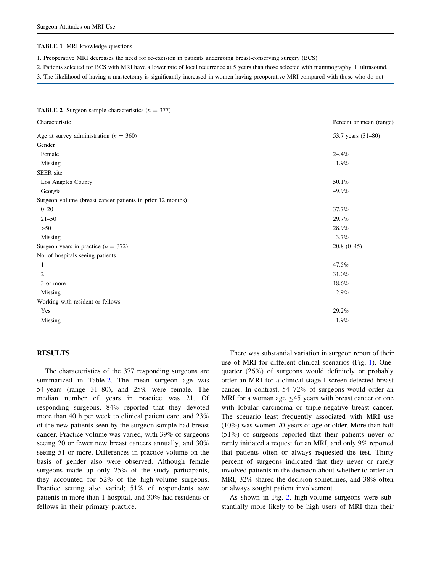#### <span id="page-2-0"></span>TABLE 1 MRI knowledge questions

1. Preoperative MRI decreases the need for re-excision in patients undergoing breast-conserving surgery (BCS).

2. Patients selected for BCS with MRI have a lower rate of local recurrence at 5 years than those selected with mammography  $\pm$  ultrasound.

3. The likelihood of having a mastectomy is significantly increased in women having preoperative MRI compared with those who do not.

| <b>TABLE 2</b> Surgeon sample characteristics $(n = 377)$ |  |  |  |  |
|-----------------------------------------------------------|--|--|--|--|
|-----------------------------------------------------------|--|--|--|--|

| Characteristic                                             | Percent or mean (range) |
|------------------------------------------------------------|-------------------------|
| Age at survey administration ( $n = 360$ )                 | 53.7 years (31-80)      |
| Gender                                                     |                         |
| Female                                                     | 24.4%                   |
| Missing                                                    | 1.9%                    |
| SEER site                                                  |                         |
| Los Angeles County                                         | 50.1%                   |
| Georgia                                                    | 49.9%                   |
| Surgeon volume (breast cancer patients in prior 12 months) |                         |
| $0 - 20$                                                   | 37.7%                   |
| $21 - 50$                                                  | 29.7%                   |
| >50                                                        | 28.9%                   |
| Missing                                                    | 3.7%                    |
| Surgeon years in practice $(n = 372)$                      | $20.8(0-45)$            |
| No. of hospitals seeing patients                           |                         |
| 1                                                          | 47.5%                   |
| 2                                                          | 31.0%                   |
| 3 or more                                                  | 18.6%                   |
| Missing                                                    | 2.9%                    |
| Working with resident or fellows                           |                         |
| Yes                                                        | 29.2%                   |
| Missing                                                    | 1.9%                    |

## RESULTS

The characteristics of the 377 responding surgeons are summarized in Table 2. The mean surgeon age was 54 years (range 31–80), and 25% were female. The median number of years in practice was 21. Of responding surgeons, 84% reported that they devoted more than 40 h per week to clinical patient care, and 23% of the new patients seen by the surgeon sample had breast cancer. Practice volume was varied, with 39% of surgeons seeing 20 or fewer new breast cancers annually, and 30% seeing 51 or more. Differences in practice volume on the basis of gender also were observed. Although female surgeons made up only 25% of the study participants, they accounted for 52% of the high-volume surgeons. Practice setting also varied; 51% of respondents saw patients in more than 1 hospital, and 30% had residents or fellows in their primary practice.

There was substantial variation in surgeon report of their use of MRI for different clinical scenarios (Fig. [1\)](#page-3-0). Onequarter (26%) of surgeons would definitely or probably order an MRI for a clinical stage I screen-detected breast cancer. In contrast, 54–72% of surgeons would order an MRI for a woman age  $\leq$ 45 years with breast cancer or one with lobular carcinoma or triple-negative breast cancer. The scenario least frequently associated with MRI use (10%) was women 70 years of age or older. More than half (51%) of surgeons reported that their patients never or rarely initiated a request for an MRI, and only 9% reported that patients often or always requested the test. Thirty percent of surgeons indicated that they never or rarely involved patients in the decision about whether to order an MRI, 32% shared the decision sometimes, and 38% often or always sought patient involvement.

As shown in Fig. [2](#page-3-0), high-volume surgeons were substantially more likely to be high users of MRI than their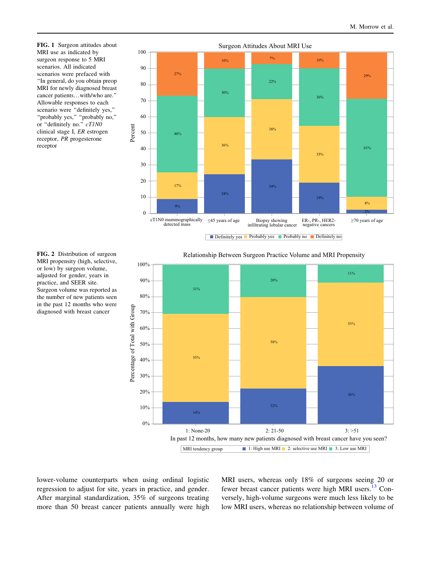MRI use as indicated by surgeon response to 5 MRI scenarios. All indicated scenarios were prefaced with ''In general, do you obtain preop MRI for newly diagnosed breast cancer patients…with/who are.'' Allowable responses to each scenario were ''definitely yes,'' ''probably yes,'' ''probably no,'' or "definitely no."  $cT/NO$ clinical stage I, ER estrogen receptor, PR progesterone receptor

<span id="page-3-0"></span>

MRI propensity (high, selective, or low) by surgeon volume, adjusted for gender, years in practice, and SEER site. Surgeon volume was reported as the number of new patients seen in the past 12 months who were diagnosed with breast cancer

FIG. 2 Distribution of surgeon Relationship Between Surgeon Practice Volume and MRI Propensity



lower-volume counterparts when using ordinal logistic regression to adjust for site, years in practice, and gender. After marginal standardization, 35% of surgeons treating more than 50 breast cancer patients annually were high MRI users, whereas only 18% of surgeons seeing 20 or fewer breast cancer patients were high MRI users.<sup>[13](#page-6-0)</sup> Conversely, high-volume surgeons were much less likely to be low MRI users, whereas no relationship between volume of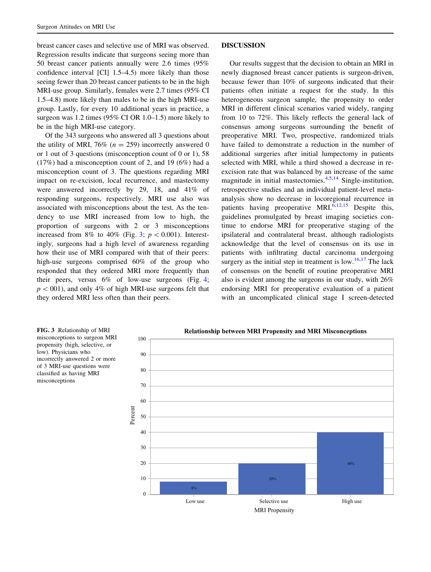breast cancer cases and selective use of MRI was observed. Regression results indicate that surgeons seeing more than 50 breast cancer patients annually were 2.6 times (95% confidence interval [CI] 1.5–4.5) more likely than those seeing fewer than 20 breast cancer patients to be in the high MRI-use group. Similarly, females were 2.7 times (95% CI 1.5–4.8) more likely than males to be in the high MRI-use group. Lastly, for every 10 additional years in practice, a surgeon was 1.2 times (95% CI OR 1.0–1.5) more likely to be in the high MRI-use category.

Of the 343 surgeons who answered all 3 questions about the utility of MRI, 76% ( $n = 259$ ) incorrectly answered 0 or 1 out of 3 questions (misconception count of 0 or 1), 58 (17%) had a misconception count of 2, and 19 (6%) had a misconception count of 3. The questions regarding MRI impact on re-excision, local recurrence, and mastectomy were answered incorrectly by 29, 18, and 41% of responding surgeons, respectively. MRI use also was associated with misconceptions about the test. As the tendency to use MRI increased from low to high, the proportion of surgeons with 2 or 3 misconceptions increased from 8% to 40% (Fig. 3;  $p < 0.001$ ). Interestingly, surgeons had a high level of awareness regarding how their use of MRI compared with that of their peers: high-use surgeons comprised 60% of the group who responded that they ordered MRI more frequently than their peers, versus 6% of low-use surgeons (Fig. [4](#page-5-0);  $p<001$ ), and only 4% of high MRI-use surgeons felt that they ordered MRI less often than their peers.

#### DISCUSSION

Our results suggest that the decision to obtain an MRI in newly diagnosed breast cancer patients is surgeon-driven, because fewer than 10% of surgeons indicated that their patients often initiate a request for the study. In this heterogeneous surgeon sample, the propensity to order MRI in different clinical scenarios varied widely, ranging from 10 to 72%. This likely reflects the general lack of consensus among surgeons surrounding the benefit of preoperative MRI. Two, prospective, randomized trials have failed to demonstrate a reduction in the number of additional surgeries after initial lumpectomy in patients selected with MRI, while a third showed a decrease in reexcision rate that was balanced by an increase of the same magnitude in initial mastectomies.[4](#page-6-0),[5,14](#page-6-0) Single-institution, retrospective studies and an individual patient-level metaanalysis show no decrease in locoregional recurrence in patients having preoperative MRI. $\frac{6,12,15}{ }$  $\frac{6,12,15}{ }$  $\frac{6,12,15}{ }$  $\frac{6,12,15}{ }$  $\frac{6,12,15}{ }$  Despite this, guidelines promulgated by breast imaging societies continue to endorse MRI for preoperative staging of the ipsilateral and contralateral breast, although radiologists acknowledge that the level of consensus on its use in patients with infiltrating ductal carcinoma undergoing surgery as the initial step in treatment is low.<sup>[16,17](#page-6-0)</sup> The lack of consensus on the benefit of routine preoperative MRI also is evident among the surgeons in our study, with 26% endorsing MRI for preoperative evaluation of a patient with an uncomplicated clinical stage I screen-detected

misconceptions to surgeon MRI propensity (high, selective, or low). Physicians who incorrectly answered 2 or more of 3 MRI-use questions were classified as having MRI misconceptions

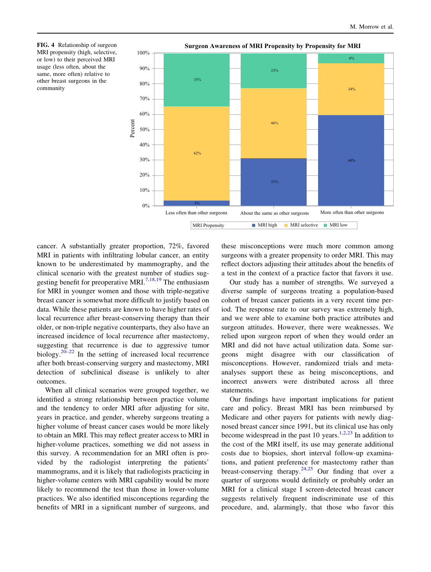MRI propensity (high, selective, or low) to their perceived MRI usage (less often, about the same, more often) relative to other breast surgeons in the community

<span id="page-5-0"></span>

cancer. A substantially greater proportion, 72%, favored MRI in patients with infiltrating lobular cancer, an entity known to be underestimated by mammography, and the clinical scenario with the greatest number of studies sug-gesting benefit for preoperative MRI.<sup>[7,18,19](#page-6-0)</sup> The enthusiasm for MRI in younger women and those with triple-negative breast cancer is somewhat more difficult to justify based on data. While these patients are known to have higher rates of local recurrence after breast-conserving therapy than their older, or non-triple negative counterparts, they also have an increased incidence of local recurrence after mastectomy, suggesting that recurrence is due to aggressive tumor biology.<sup>[20–](#page-6-0)[22](#page-7-0)</sup> In the setting of increased local recurrence after both breast-conserving surgery and mastectomy, MRI detection of subclinical disease is unlikely to alter outcomes.

When all clinical scenarios were grouped together, we identified a strong relationship between practice volume and the tendency to order MRI after adjusting for site, years in practice, and gender, whereby surgeons treating a higher volume of breast cancer cases would be more likely to obtain an MRI. This may reflect greater access to MRI in higher-volume practices, something we did not assess in this survey. A recommendation for an MRI often is provided by the radiologist interpreting the patients' mammograms, and it is likely that radiologists practicing in higher-volume centers with MRI capability would be more likely to recommend the test than those in lower-volume practices. We also identified misconceptions regarding the benefits of MRI in a significant number of surgeons, and these misconceptions were much more common among surgeons with a greater propensity to order MRI. This may reflect doctors adjusting their attitudes about the benefits of a test in the context of a practice factor that favors it use.

Our study has a number of strengths. We surveyed a diverse sample of surgeons treating a population-based cohort of breast cancer patients in a very recent time period. The response rate to our survey was extremely high, and we were able to examine both practice attributes and surgeon attitudes. However, there were weaknesses. We relied upon surgeon report of when they would order an MRI and did not have actual utilization data. Some surgeons might disagree with our classification of misconceptions. However, randomized trials and metaanalyses support these as being misconceptions, and incorrect answers were distributed across all three statements.

Our findings have important implications for patient care and policy. Breast MRI has been reimbursed by Medicare and other payers for patients with newly diagnosed breast cancer since 1991, but its clinical use has only become widespread in the past 10 years.<sup>[1,2](#page-6-0)[,23](#page-7-0)</sup> In addition to the cost of the MRI itself, its use may generate additional costs due to biopsies, short interval follow-up examinations, and patient preference for mastectomy rather than breast-conserving therapy.<sup>[24,25](#page-7-0)</sup> Our finding that over a quarter of surgeons would definitely or probably order an MRI for a clinical stage I screen-detected breast cancer suggests relatively frequent indiscriminate use of this procedure, and, alarmingly, that those who favor this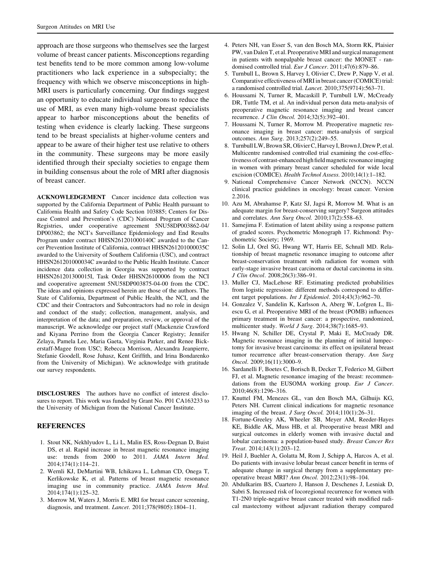<span id="page-6-0"></span>approach are those surgeons who themselves see the largest volume of breast cancer patients. Misconceptions regarding test benefits tend to be more common among low-volume practitioners who lack experience in a subspecialty; the frequency with which we observe misconceptions in high-MRI users is particularly concerning. Our findings suggest an opportunity to educate individual surgeons to reduce the use of MRI, as even many high-volume breast specialists appear to harbor misconceptions about the benefits of testing when evidence is clearly lacking. These surgeons tend to be breast specialists at higher-volume centers and appear to be aware of their higher test use relative to others in the community. These surgeons may be more easily identified through their specialty societies to engage them in building consensus about the role of MRI after diagnosis of breast cancer.

ACKNOWLEDGEMENT Cancer incidence data collection was supported by the California Department of Public Health pursuant to California Health and Safety Code Section 103885; Centers for Disease Control and Prevention's (CDC) National Program of Cancer Registries, under cooperative agreement 5NU58DP003862-04/ DP003862; the NCI's Surveillance Epidemiology and End Results Program under contract HHSN261201000140C awarded to the Cancer Prevention Institute of California, contract HHSN261201000035C awarded to the University of Southern California (USC), and contract HHSN261201000034C awarded to the Public Health Institute. Cancer incidence data collection in Georgia was supported by contract HHSN261201300015I, Task Order HHSN26100006 from the NCI and cooperative agreement 5NU58DP003875-04-00 from the CDC. The ideas and opinions expressed herein are those of the authors. The State of California, Department of Public Health, the NCI, and the CDC and their Contractors and Subcontractors had no role in design and conduct of the study; collection, management, analysis, and interpretation of the data; and preparation, review, or approval of the manuscript. We acknowledge our project staff (Mackenzie Crawford and Kiyana Perrino from the Georgia Cancer Registry; Jennifer Zelaya, Pamela Lee, Maria Gaeta, Virginia Parker, and Renee Bickerstaff-Magee from USC; Rebecca Morrison, Alexandra Jeanpierre, Stefanie Goodell, Rose Juhasz, Kent Griffith, and Irina Bondarenko from the University of Michigan). We acknowledge with gratitude our survey respondents.

DISCLOSURES The authors have no conflict of interest disclosures to report. This work was funded by Grant No. P01 CA163233 to the University of Michigan from the National Cancer Institute.

# **REFERENCES**

- 1. Stout NK, Nekhlyudov L, Li L, Malin ES, Ross-Degnan D, Buist DS, et al. Rapid increase in breast magnetic resonance imaging use: trends from 2000 to 2011. JAMA Intern Med. 2014;174(1):114–21.
- 2. Wernli KJ, DeMartini WB, Ichikawa L, Lehman CD, Onega T, Kerlikowske K, et al. Patterns of breast magnetic resonance imaging use in community practice. JAMA Intern Med. 2014;174(1):125–32.
- 3. Morrow M, Waters J, Morris E. MRI for breast cancer screening, diagnosis, and treatment. Lancet. 2011;378(9805):1804–11.
- 4. Peters NH, van Esser S, van den Bosch MA, Storm RK, Plaisier PW, van Dalen T, et al. Preoperative MRI and surgical management in patients with nonpalpable breast cancer: the MONET - randomised controlled trial. Eur J Cancer. 2011;47(6):879-86.
- 5. Turnbull L, Brown S, Harvey I, Olivier C, Drew P, Napp V, et al. Comparative effectiveness of MRI in breast cancer (COMICE) trial: a randomised controlled trial. Lancet. 2010;375(9714):563–71.
- 6. Houssami N, Turner R, Macaskill P, Turnbull LW, McCready DR, Tuttle TM, et al. An individual person data meta-analysis of preoperative magnetic resonance imaging and breast cancer recurrence. J Clin Oncol. 2014;32(5):392–401.
- 7. Houssami N, Turner R, Morrow M. Preoperative magnetic resonance imaging in breast cancer: meta-analysis of surgical outcomes. Ann Surg. 2013;257(2):249–55.
- 8. Turnbull LW, Brown SR, Olivier C, Harvey I, Brown J, Drew P, et al. Multicentre randomised controlled trial examining the cost-effectiveness of contrast-enhanced high field magnetic resonance imaging in women with primary breast cancer scheduled for wide local excision (COMICE). Health Technol Assess. 2010;14(1):1–182.
- 9. National Comprehensive Cancer Network (NCCN). NCCN clinical practice guidelines in oncology: breast cancer. Version 2.2016.
- 10. Azu M, Abrahamse P, Katz SJ, Jagsi R, Morrow M. What is an adequate margin for breast-conserving surgery? Surgeon attitudes and correlates. Ann Surg Oncol. 2010;17(2):558–63.
- 11. Samejima F. Estimation of latent ability using a response pattern of graded scores. Psychometric Monograph 17. Richmond: Psychometric Society; 1969.
- 12. Solin LJ, Orel SG, Hwang WT, Harris EE, Schnall MD. Relationship of breast magnetic resonance imaging to outcome after breast-conservation treatment with radiation for women with early-stage invasive breast carcinoma or ductal carcinoma in situ. J Clin Oncol. 2008;26(3):386–91.
- 13. Muller CJ, MacLehose RF. Estimating predicted probabilities from logistic regression: different methods correspond to different target populations. Int J Epidemiol. 2014;43(3):962–70.
- 14. Gonzalez V, Sandelin K, Karlsson A, Aberg W, Lofgren L, Iliescu G, et al. Preoperative MRI of the breast (POMB) influences primary treatment in breast cancer: a prospective, randomized, multicenter study. World J Surg. 2014;38(7):1685–93.
- 15. Hwang N, Schiller DE, Crystal P, Maki E, McCready DR. Magnetic resonance imaging in the planning of initial lumpectomy for invasive breast carcinoma: its effect on ipsilateral breast tumor recurrence after breast-conservation therapy. Ann Surg Oncol. 2009;16(11):3000–9.
- 16. Sardanelli F, Boetes C, Borisch B, Decker T, Federico M, Gilbert FJ, et al. Magnetic resonance imaging of the breast: recommendations from the EUSOMA working group. Eur J Cancer. 2010;46(8):1296–316.
- 17. Knuttel FM, Menezes GL, van den Bosch MA, Gilhuijs KG, Peters NH. Current clinical indications for magnetic resonance imaging of the breast. J Surg Oncol. 2014;110(1):26–31.
- 18. Fortune-Greeley AK, Wheeler SB, Meyer AM, Reeder-Hayes KE, Biddle AK, Muss HB, et al. Preoperative breast MRI and surgical outcomes in elderly women with invasive ductal and lobular carcinoma: a population-based study. Breast Cancer Res Treat. 2014;143(1):203–12.
- 19. Heil J, Buehler A, Golatta M, Rom J, Schipp A, Harcos A, et al. Do patients with invasive lobular breast cancer benefit in terms of adequate change in surgical therapy from a supplementary preoperative breast MRI? Ann Oncol. 2012;23(1):98–104.
- 20. Abdulkarim BS, Cuartero J, Hanson J, Deschenes J, Lesniak D, Sabri S. Increased risk of locoregional recurrence for women with T1-2N0 triple-negative breast cancer treated with modified radical mastectomy without adjuvant radiation therapy compared